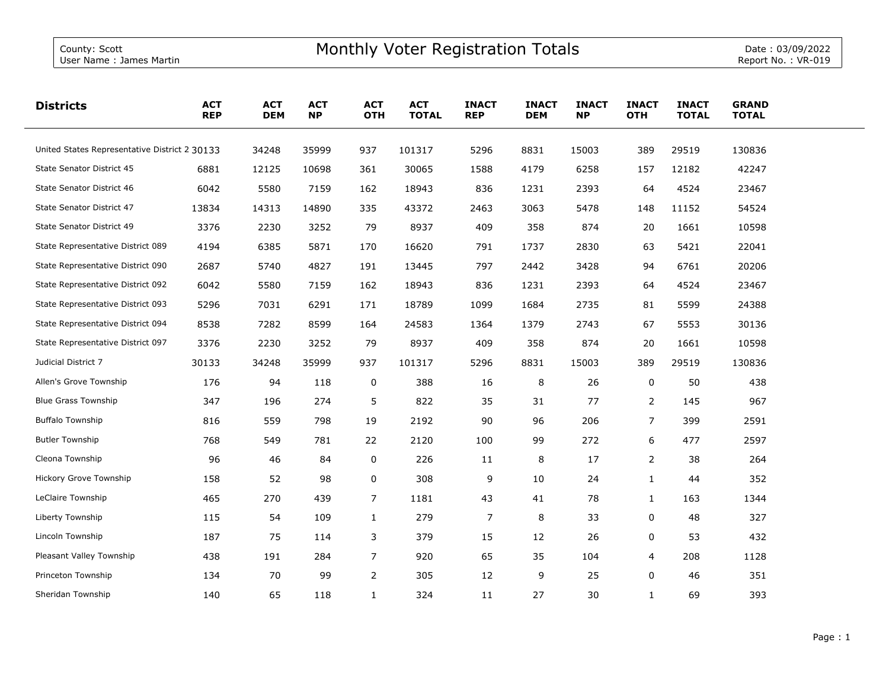| <b>Districts</b>                              | <b>ACT</b><br><b>REP</b> | <b>ACT</b><br><b>DEM</b> | <b>ACT</b><br><b>NP</b> | <b>ACT</b><br><b>OTH</b> | <b>ACT</b><br><b>TOTAL</b> | <b>INACT</b><br><b>REP</b> | <b>INACT</b><br><b>DEM</b> | <b>INACT</b><br><b>NP</b> | <b>INACT</b><br><b>OTH</b> | <b>INACT</b><br><b>TOTAL</b> | <b>GRAND</b><br><b>TOTAL</b> |  |
|-----------------------------------------------|--------------------------|--------------------------|-------------------------|--------------------------|----------------------------|----------------------------|----------------------------|---------------------------|----------------------------|------------------------------|------------------------------|--|
| United States Representative District 2 30133 |                          | 34248                    | 35999                   | 937                      | 101317                     | 5296                       | 8831                       | 15003                     | 389                        | 29519                        | 130836                       |  |
| State Senator District 45                     | 6881                     | 12125                    | 10698                   | 361                      | 30065                      | 1588                       | 4179                       | 6258                      | 157                        | 12182                        | 42247                        |  |
| State Senator District 46                     | 6042                     | 5580                     | 7159                    | 162                      | 18943                      | 836                        | 1231                       | 2393                      | 64                         | 4524                         | 23467                        |  |
| State Senator District 47                     | 13834                    | 14313                    | 14890                   | 335                      | 43372                      | 2463                       | 3063                       | 5478                      | 148                        | 11152                        | 54524                        |  |
| State Senator District 49                     | 3376                     | 2230                     | 3252                    | 79                       | 8937                       | 409                        | 358                        | 874                       | 20                         | 1661                         | 10598                        |  |
| State Representative District 089             | 4194                     | 6385                     | 5871                    | 170                      | 16620                      | 791                        | 1737                       | 2830                      | 63                         | 5421                         | 22041                        |  |
| State Representative District 090             | 2687                     | 5740                     | 4827                    | 191                      | 13445                      | 797                        | 2442                       | 3428                      | 94                         | 6761                         | 20206                        |  |
| State Representative District 092             | 6042                     | 5580                     | 7159                    | 162                      | 18943                      | 836                        | 1231                       | 2393                      | 64                         | 4524                         | 23467                        |  |
| State Representative District 093             | 5296                     | 7031                     | 6291                    | 171                      | 18789                      | 1099                       | 1684                       | 2735                      | 81                         | 5599                         | 24388                        |  |
| State Representative District 094             | 8538                     | 7282                     | 8599                    | 164                      | 24583                      | 1364                       | 1379                       | 2743                      | 67                         | 5553                         | 30136                        |  |
| State Representative District 097             | 3376                     | 2230                     | 3252                    | 79                       | 8937                       | 409                        | 358                        | 874                       | 20                         | 1661                         | 10598                        |  |
| Judicial District 7                           | 30133                    | 34248                    | 35999                   | 937                      | 101317                     | 5296                       | 8831                       | 15003                     | 389                        | 29519                        | 130836                       |  |
| Allen's Grove Township                        | 176                      | 94                       | 118                     | 0                        | 388                        | 16                         | 8                          | 26                        | 0                          | 50                           | 438                          |  |
| <b>Blue Grass Township</b>                    | 347                      | 196                      | 274                     | 5                        | 822                        | 35                         | 31                         | 77                        | $\overline{2}$             | 145                          | 967                          |  |
| <b>Buffalo Township</b>                       | 816                      | 559                      | 798                     | 19                       | 2192                       | 90                         | 96                         | 206                       | $\overline{7}$             | 399                          | 2591                         |  |
| <b>Butler Township</b>                        | 768                      | 549                      | 781                     | 22                       | 2120                       | 100                        | 99                         | 272                       | 6                          | 477                          | 2597                         |  |
| Cleona Township                               | 96                       | 46                       | 84                      | 0                        | 226                        | 11                         | 8                          | 17                        | 2                          | 38                           | 264                          |  |
| Hickory Grove Township                        | 158                      | 52                       | 98                      | 0                        | 308                        | 9                          | 10                         | 24                        | $\mathbf{1}$               | 44                           | 352                          |  |
| LeClaire Township                             | 465                      | 270                      | 439                     | $\overline{7}$           | 1181                       | 43                         | 41                         | 78                        | $\mathbf{1}$               | 163                          | 1344                         |  |
| Liberty Township                              | 115                      | 54                       | 109                     | $\mathbf{1}$             | 279                        | $\overline{7}$             | 8                          | 33                        | 0                          | 48                           | 327                          |  |
| Lincoln Township                              | 187                      | 75                       | 114                     | 3                        | 379                        | 15                         | 12                         | 26                        | 0                          | 53                           | 432                          |  |
| Pleasant Valley Township                      | 438                      | 191                      | 284                     | $\overline{7}$           | 920                        | 65                         | 35                         | 104                       | 4                          | 208                          | 1128                         |  |
| Princeton Township                            | 134                      | 70                       | 99                      | $\mathbf{2}$             | 305                        | 12                         | 9                          | 25                        | 0                          | 46                           | 351                          |  |
| Sheridan Township                             | 140                      | 65                       | 118                     | $\mathbf{1}$             | 324                        | 11                         | 27                         | 30                        | $\mathbf{1}$               | 69                           | 393                          |  |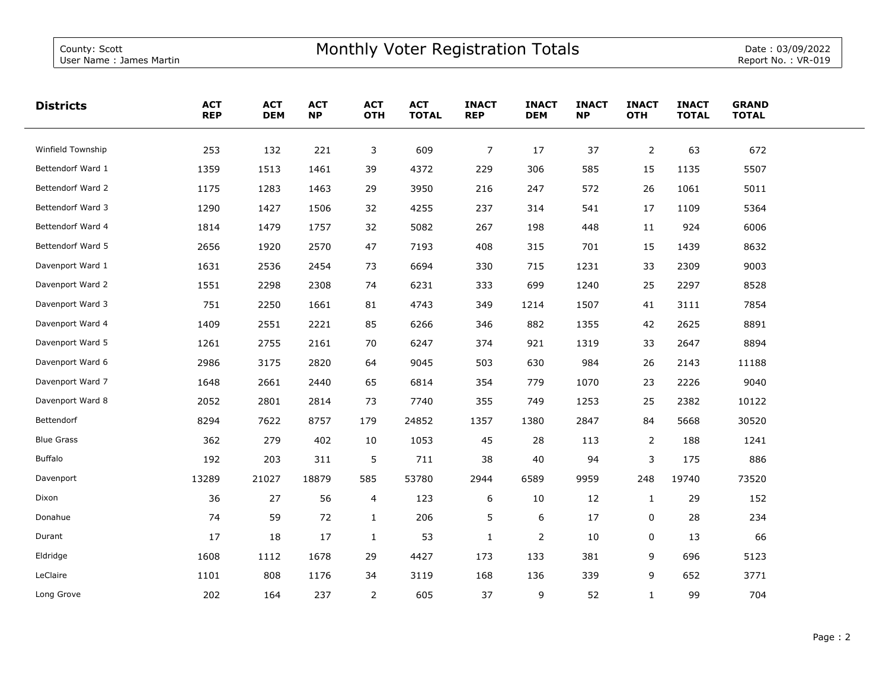| <b>Districts</b>  | <b>ACT</b><br><b>REP</b> | <b>ACT</b><br><b>DEM</b> | <b>ACT</b><br><b>NP</b> | <b>ACT</b><br><b>OTH</b> | <b>ACT</b><br><b>TOTAL</b> | <b>INACT</b><br><b>REP</b> | <b>INACT</b><br><b>DEM</b> | <b>INACT</b><br><b>NP</b> | <b>INACT</b><br><b>OTH</b> | <b>INACT</b><br><b>TOTAL</b> | <b>GRAND</b><br><b>TOTAL</b> |  |
|-------------------|--------------------------|--------------------------|-------------------------|--------------------------|----------------------------|----------------------------|----------------------------|---------------------------|----------------------------|------------------------------|------------------------------|--|
| Winfield Township | 253                      | 132                      | 221                     | 3                        | 609                        | $\overline{7}$             | 17                         | 37                        | $\overline{2}$             | 63                           | 672                          |  |
| Bettendorf Ward 1 | 1359                     | 1513                     | 1461                    | 39                       | 4372                       | 229                        | 306                        | 585                       | 15                         | 1135                         | 5507                         |  |
| Bettendorf Ward 2 | 1175                     | 1283                     | 1463                    | 29                       | 3950                       | 216                        | 247                        | 572                       | 26                         | 1061                         | 5011                         |  |
| Bettendorf Ward 3 | 1290                     | 1427                     | 1506                    | 32                       | 4255                       | 237                        | 314                        | 541                       | 17                         | 1109                         | 5364                         |  |
| Bettendorf Ward 4 | 1814                     | 1479                     | 1757                    | 32                       | 5082                       | 267                        | 198                        | 448                       | 11                         | 924                          | 6006                         |  |
| Bettendorf Ward 5 | 2656                     | 1920                     | 2570                    | 47                       | 7193                       | 408                        | 315                        | 701                       | 15                         | 1439                         | 8632                         |  |
| Davenport Ward 1  | 1631                     | 2536                     | 2454                    | 73                       | 6694                       | 330                        | 715                        | 1231                      | 33                         | 2309                         | 9003                         |  |
| Davenport Ward 2  | 1551                     | 2298                     | 2308                    | 74                       | 6231                       | 333                        | 699                        | 1240                      | 25                         | 2297                         | 8528                         |  |
| Davenport Ward 3  | 751                      | 2250                     | 1661                    | 81                       | 4743                       | 349                        | 1214                       | 1507                      | 41                         | 3111                         | 7854                         |  |
| Davenport Ward 4  | 1409                     | 2551                     | 2221                    | 85                       | 6266                       | 346                        | 882                        | 1355                      | 42                         | 2625                         | 8891                         |  |
| Davenport Ward 5  | 1261                     | 2755                     | 2161                    | 70                       | 6247                       | 374                        | 921                        | 1319                      | 33                         | 2647                         | 8894                         |  |
| Davenport Ward 6  | 2986                     | 3175                     | 2820                    | 64                       | 9045                       | 503                        | 630                        | 984                       | 26                         | 2143                         | 11188                        |  |
| Davenport Ward 7  | 1648                     | 2661                     | 2440                    | 65                       | 6814                       | 354                        | 779                        | 1070                      | 23                         | 2226                         | 9040                         |  |
| Davenport Ward 8  | 2052                     | 2801                     | 2814                    | 73                       | 7740                       | 355                        | 749                        | 1253                      | 25                         | 2382                         | 10122                        |  |
| Bettendorf        | 8294                     | 7622                     | 8757                    | 179                      | 24852                      | 1357                       | 1380                       | 2847                      | 84                         | 5668                         | 30520                        |  |
| <b>Blue Grass</b> | 362                      | 279                      | 402                     | 10                       | 1053                       | 45                         | 28                         | 113                       | $\overline{2}$             | 188                          | 1241                         |  |
| <b>Buffalo</b>    | 192                      | 203                      | 311                     | 5                        | 711                        | 38                         | 40                         | 94                        | 3                          | 175                          | 886                          |  |
| Davenport         | 13289                    | 21027                    | 18879                   | 585                      | 53780                      | 2944                       | 6589                       | 9959                      | 248                        | 19740                        | 73520                        |  |
| Dixon             | 36                       | 27                       | 56                      | 4                        | 123                        | 6                          | 10                         | 12                        | $\mathbf{1}$               | 29                           | 152                          |  |
| Donahue           | 74                       | 59                       | 72                      | $\mathbf{1}$             | 206                        | 5                          | 6                          | 17                        | 0                          | 28                           | 234                          |  |
| Durant            | 17                       | 18                       | 17                      | $\mathbf{1}$             | 53                         | $\mathbf{1}$               | $\overline{2}$             | 10                        | 0                          | 13                           | 66                           |  |
| Eldridge          | 1608                     | 1112                     | 1678                    | 29                       | 4427                       | 173                        | 133                        | 381                       | 9                          | 696                          | 5123                         |  |
| LeClaire          | 1101                     | 808                      | 1176                    | 34                       | 3119                       | 168                        | 136                        | 339                       | 9                          | 652                          | 3771                         |  |
| Long Grove        | 202                      | 164                      | 237                     | $\overline{2}$           | 605                        | 37                         | 9                          | 52                        | $\mathbf{1}$               | 99                           | 704                          |  |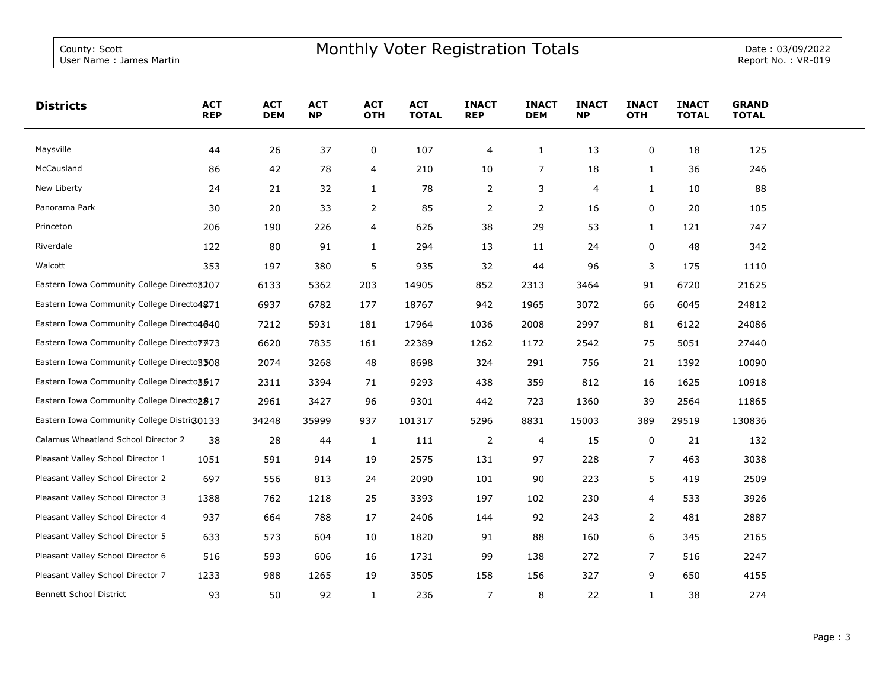| <b>Districts</b>                             | <b>ACT</b><br><b>REP</b> | <b>ACT</b><br><b>DEM</b> | <b>ACT</b><br><b>NP</b> | <b>ACT</b><br><b>OTH</b> | <b>ACT</b><br><b>TOTAL</b> | <b>INACT</b><br><b>REP</b> | <b>INACT</b><br><b>DEM</b> | <b>INACT</b><br><b>NP</b> | <b>INACT</b><br><b>OTH</b> | <b>INACT</b><br><b>TOTAL</b> | <b>GRAND</b><br><b>TOTAL</b> |  |
|----------------------------------------------|--------------------------|--------------------------|-------------------------|--------------------------|----------------------------|----------------------------|----------------------------|---------------------------|----------------------------|------------------------------|------------------------------|--|
| Maysville                                    | 44                       | 26                       | 37                      | 0                        | 107                        | 4                          | $\mathbf{1}$               | 13                        | 0                          | 18                           | 125                          |  |
| McCausland                                   | 86                       | 42                       | 78                      | 4                        | 210                        | 10                         | 7                          | 18                        | 1                          | 36                           | 246                          |  |
| New Liberty                                  | 24                       | 21                       | 32                      | $\mathbf{1}$             | 78                         | 2                          | 3                          | 4                         | 1                          | 10                           | 88                           |  |
| Panorama Park                                | 30                       | 20                       | 33                      | 2                        | 85                         | $\overline{2}$             | $\overline{2}$             | 16                        | 0                          | 20                           | 105                          |  |
| Princeton                                    | 206                      | 190                      | 226                     | 4                        | 626                        | 38                         | 29                         | 53                        | 1                          | 121                          | 747                          |  |
| Riverdale                                    | 122                      | 80                       | 91                      | $\mathbf{1}$             | 294                        | 13                         | 11                         | 24                        | 0                          | 48                           | 342                          |  |
| Walcott                                      | 353                      | 197                      | 380                     | 5                        | 935                        | 32                         | 44                         | 96                        | 3                          | 175                          | 1110                         |  |
| Eastern Iowa Community College Directo 3207  |                          | 6133                     | 5362                    | 203                      | 14905                      | 852                        | 2313                       | 3464                      | 91                         | 6720                         | 21625                        |  |
| Eastern Iowa Community College Directo4871   |                          | 6937                     | 6782                    | 177                      | 18767                      | 942                        | 1965                       | 3072                      | 66                         | 6045                         | 24812                        |  |
| Eastern Iowa Community College Directo4640   |                          | 7212                     | 5931                    | 181                      | 17964                      | 1036                       | 2008                       | 2997                      | 81                         | 6122                         | 24086                        |  |
| Eastern Iowa Community College Directo 7473  |                          | 6620                     | 7835                    | 161                      | 22389                      | 1262                       | 1172                       | 2542                      | 75                         | 5051                         | 27440                        |  |
| Eastern Iowa Community College Directo 3 308 |                          | 2074                     | 3268                    | 48                       | 8698                       | 324                        | 291                        | 756                       | 21                         | 1392                         | 10090                        |  |
| Eastern Iowa Community College Directo 3517  |                          | 2311                     | 3394                    | 71                       | 9293                       | 438                        | 359                        | 812                       | 16                         | 1625                         | 10918                        |  |
| Eastern Iowa Community College Directop 817  |                          | 2961                     | 3427                    | 96                       | 9301                       | 442                        | 723                        | 1360                      | 39                         | 2564                         | 11865                        |  |
| Eastern Iowa Community College District0133  |                          | 34248                    | 35999                   | 937                      | 101317                     | 5296                       | 8831                       | 15003                     | 389                        | 29519                        | 130836                       |  |
| Calamus Wheatland School Director 2          | 38                       | 28                       | 44                      | $\mathbf{1}$             | 111                        | 2                          | 4                          | 15                        | 0                          | 21                           | 132                          |  |
| Pleasant Valley School Director 1            | 1051                     | 591                      | 914                     | 19                       | 2575                       | 131                        | 97                         | 228                       | 7                          | 463                          | 3038                         |  |
| Pleasant Valley School Director 2            | 697                      | 556                      | 813                     | 24                       | 2090                       | 101                        | 90                         | 223                       | 5                          | 419                          | 2509                         |  |
| Pleasant Valley School Director 3            | 1388                     | 762                      | 1218                    | 25                       | 3393                       | 197                        | 102                        | 230                       | 4                          | 533                          | 3926                         |  |
| Pleasant Valley School Director 4            | 937                      | 664                      | 788                     | 17                       | 2406                       | 144                        | 92                         | 243                       | $\overline{2}$             | 481                          | 2887                         |  |
| Pleasant Valley School Director 5            | 633                      | 573                      | 604                     | 10                       | 1820                       | 91                         | 88                         | 160                       | 6                          | 345                          | 2165                         |  |
| Pleasant Valley School Director 6            | 516                      | 593                      | 606                     | 16                       | 1731                       | 99                         | 138                        | 272                       | $\overline{7}$             | 516                          | 2247                         |  |
| Pleasant Valley School Director 7            | 1233                     | 988                      | 1265                    | 19                       | 3505                       | 158                        | 156                        | 327                       | 9                          | 650                          | 4155                         |  |
| <b>Bennett School District</b>               | 93                       | 50                       | 92                      | $\mathbf{1}$             | 236                        | $\overline{7}$             | 8                          | 22                        | $\mathbf{1}$               | 38                           | 274                          |  |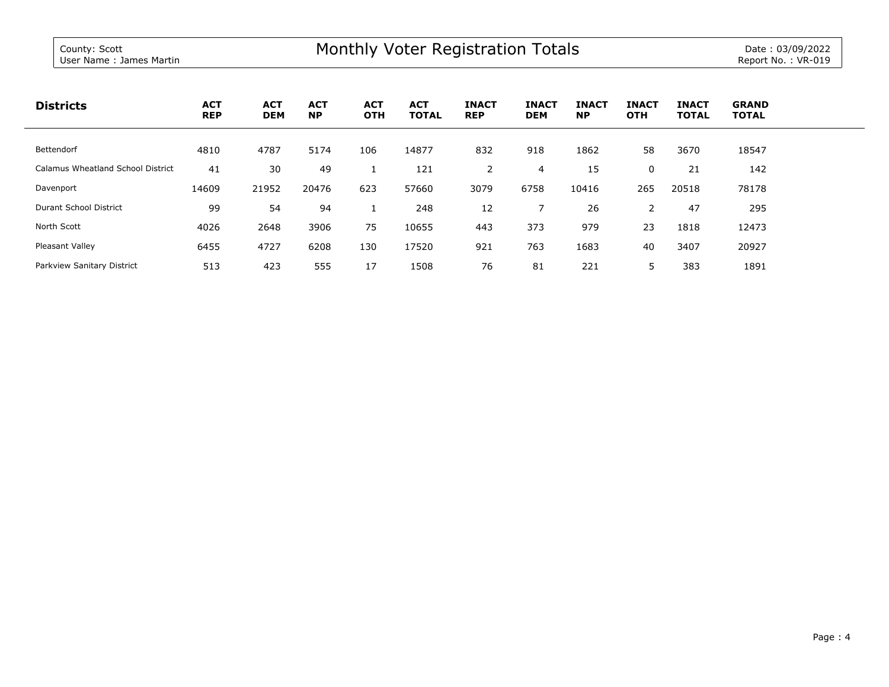| <b>Districts</b>                  | <b>ACT</b><br><b>REP</b> | <b>ACT</b><br><b>DEM</b> | <b>ACT</b><br><b>NP</b> | <b>ACT</b><br><b>OTH</b> | <b>ACT</b><br><b>TOTAL</b> | <b>INACT</b><br><b>REP</b> | <b>INACT</b><br><b>DEM</b> | <b>INACT</b><br><b>NP</b> | <b>INACT</b><br><b>OTH</b> | <b>INACT</b><br><b>TOTAL</b> | <b>GRAND</b><br><b>TOTAL</b> |
|-----------------------------------|--------------------------|--------------------------|-------------------------|--------------------------|----------------------------|----------------------------|----------------------------|---------------------------|----------------------------|------------------------------|------------------------------|
| Bettendorf                        | 4810                     | 4787                     | 5174                    | 106                      | 14877                      | 832                        | 918                        | 1862                      | 58                         | 3670                         | 18547                        |
| Calamus Wheatland School District | 41                       | 30                       | 49                      |                          | 121                        | 2                          | 4                          | 15                        | 0                          | 21                           | 142                          |
| Davenport                         | 14609                    | 21952                    | 20476                   | 623                      | 57660                      | 3079                       | 6758                       | 10416                     | 265                        | 20518                        | 78178                        |
| Durant School District            | 99                       | 54                       | 94                      |                          | 248                        | 12                         |                            | 26                        | 2                          | 47                           | 295                          |
| North Scott                       | 4026                     | 2648                     | 3906                    | 75                       | 10655                      | 443                        | 373                        | 979                       | 23                         | 1818                         | 12473                        |
| Pleasant Valley                   | 6455                     | 4727                     | 6208                    | 130                      | 17520                      | 921                        | 763                        | 1683                      | 40                         | 3407                         | 20927                        |
| Parkview Sanitary District        | 513                      | 423                      | 555                     | 17                       | 1508                       | 76                         | 81                         | 221                       |                            | 383                          | 1891                         |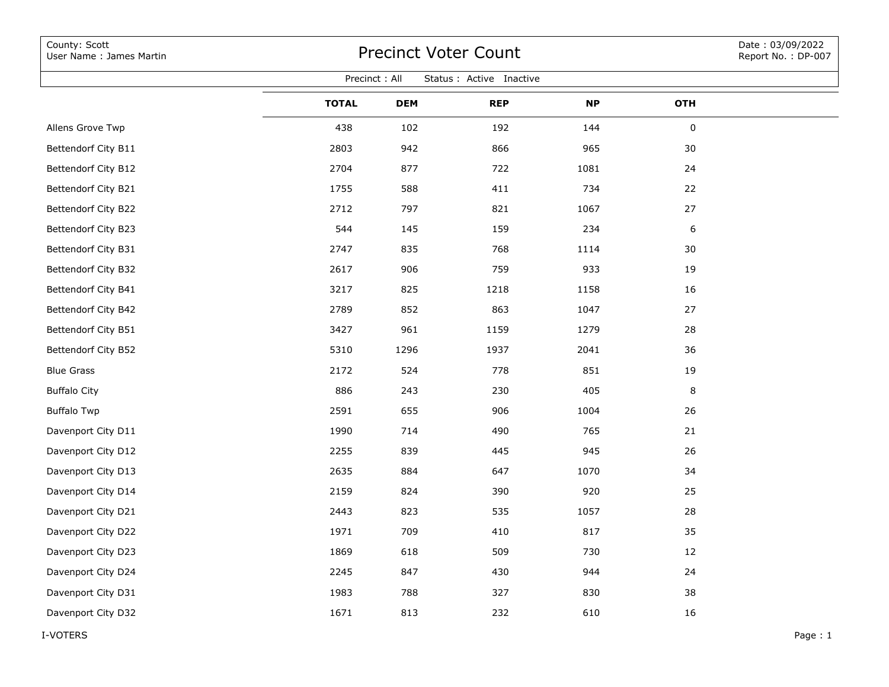| County: Scott<br>User Name: James Martin  | <b>Precinct Voter Count</b> |            |            |           |            |  |  |  |  |  |  |  |
|-------------------------------------------|-----------------------------|------------|------------|-----------|------------|--|--|--|--|--|--|--|
| Precinct: All<br>Status : Active Inactive |                             |            |            |           |            |  |  |  |  |  |  |  |
|                                           | <b>TOTAL</b>                | <b>DEM</b> | <b>REP</b> | <b>NP</b> | <b>OTH</b> |  |  |  |  |  |  |  |
| Allens Grove Twp                          | 438                         | 102        | 192        | 144       | 0          |  |  |  |  |  |  |  |
| Bettendorf City B11                       | 2803                        | 942        | 866        | 965       | 30         |  |  |  |  |  |  |  |
| Bettendorf City B12                       | 2704                        | 877        | 722        | 1081      | 24         |  |  |  |  |  |  |  |
| Bettendorf City B21                       | 1755                        | 588        | 411        | 734       | 22         |  |  |  |  |  |  |  |
| Bettendorf City B22                       | 2712                        | 797        | 821        | 1067      | 27         |  |  |  |  |  |  |  |
| Bettendorf City B23                       | 544                         | 145        | 159        | 234       | 6          |  |  |  |  |  |  |  |
| Bettendorf City B31                       | 2747                        | 835        | 768        | 1114      | 30         |  |  |  |  |  |  |  |
| Bettendorf City B32                       | 2617                        | 906        | 759        | 933       | 19         |  |  |  |  |  |  |  |
| Bettendorf City B41                       | 3217                        | 825        | 1218       | 1158      | 16         |  |  |  |  |  |  |  |
| Bettendorf City B42                       | 2789                        | 852        | 863        | 1047      | 27         |  |  |  |  |  |  |  |
| Bettendorf City B51                       | 3427                        | 961        | 1159       | 1279      | 28         |  |  |  |  |  |  |  |
| Bettendorf City B52                       | 5310                        | 1296       | 1937       | 2041      | 36         |  |  |  |  |  |  |  |
| <b>Blue Grass</b>                         | 2172                        | 524        | 778        | 851       | 19         |  |  |  |  |  |  |  |
| <b>Buffalo City</b>                       | 886                         | 243        | 230        | 405       | 8          |  |  |  |  |  |  |  |
| <b>Buffalo Twp</b>                        | 2591                        | 655        | 906        | 1004      | 26         |  |  |  |  |  |  |  |
| Davenport City D11                        | 1990                        | 714        | 490        | 765       | 21         |  |  |  |  |  |  |  |
| Davenport City D12                        | 2255                        | 839        | 445        | 945       | 26         |  |  |  |  |  |  |  |
| Davenport City D13                        | 2635                        | 884        | 647        | 1070      | 34         |  |  |  |  |  |  |  |
| Davenport City D14                        | 2159                        | 824        | 390        | 920       | 25         |  |  |  |  |  |  |  |
| Davenport City D21                        | 2443                        | 823        | 535        | 1057      | 28         |  |  |  |  |  |  |  |
| Davenport City D22                        | 1971                        | 709        | 410        | 817       | 35         |  |  |  |  |  |  |  |
| Davenport City D23                        | 1869                        | 618        | 509        | 730       | 12         |  |  |  |  |  |  |  |
| Davenport City D24                        | 2245                        | 847        | 430        | 944       | 24         |  |  |  |  |  |  |  |
| Davenport City D31                        | 1983                        | 788        | 327        | 830       | 38         |  |  |  |  |  |  |  |
| Davenport City D32                        | 1671                        | 813        | 232        | 610       | 16         |  |  |  |  |  |  |  |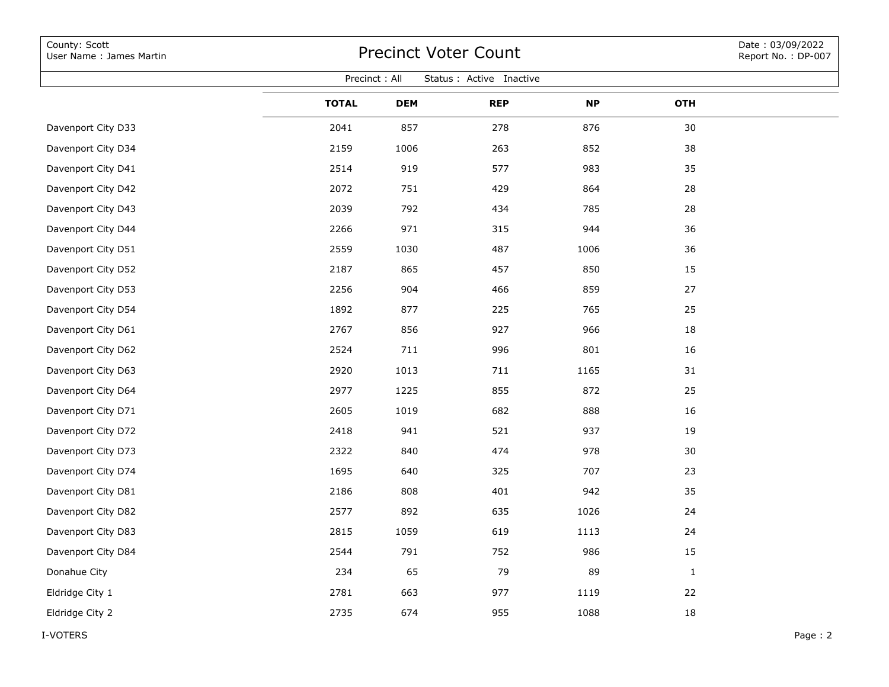| County: Scott<br>User Name: James Martin  | <b>Precinct Voter Count</b> | Date: 03/09/2022<br>Report No.: DP-007 |            |           |              |         |  |  |  |  |  |  |
|-------------------------------------------|-----------------------------|----------------------------------------|------------|-----------|--------------|---------|--|--|--|--|--|--|
| Precinct: All<br>Status : Active Inactive |                             |                                        |            |           |              |         |  |  |  |  |  |  |
|                                           | <b>TOTAL</b>                | <b>DEM</b>                             | <b>REP</b> | <b>NP</b> | <b>OTH</b>   |         |  |  |  |  |  |  |
| Davenport City D33                        | 2041                        | 857                                    | 278        | 876       | 30           |         |  |  |  |  |  |  |
| Davenport City D34                        | 2159                        | 1006                                   | 263        | 852       | 38           |         |  |  |  |  |  |  |
| Davenport City D41                        | 2514                        | 919                                    | 577        | 983       | 35           |         |  |  |  |  |  |  |
| Davenport City D42                        | 2072                        | 751                                    | 429        | 864       | 28           |         |  |  |  |  |  |  |
| Davenport City D43                        | 2039                        | 792                                    | 434        | 785       | 28           |         |  |  |  |  |  |  |
| Davenport City D44                        | 2266                        | 971                                    | 315        | 944       | 36           |         |  |  |  |  |  |  |
| Davenport City D51                        | 2559                        | 1030                                   | 487        | 1006      | 36           |         |  |  |  |  |  |  |
| Davenport City D52                        | 2187                        | 865                                    | 457        | 850       | 15           |         |  |  |  |  |  |  |
| Davenport City D53                        | 2256                        | 904                                    | 466        | 859       | 27           |         |  |  |  |  |  |  |
| Davenport City D54                        | 1892                        | 877                                    | 225        | 765       | 25           |         |  |  |  |  |  |  |
| Davenport City D61                        | 2767                        | 856                                    | 927        | 966       | 18           |         |  |  |  |  |  |  |
| Davenport City D62                        | 2524                        | 711                                    | 996        | 801       | 16           |         |  |  |  |  |  |  |
| Davenport City D63                        | 2920                        | 1013                                   | 711        | 1165      | 31           |         |  |  |  |  |  |  |
| Davenport City D64                        | 2977                        | 1225                                   | 855        | 872       | 25           |         |  |  |  |  |  |  |
| Davenport City D71                        | 2605                        | 1019                                   | 682        | 888       | 16           |         |  |  |  |  |  |  |
| Davenport City D72                        | 2418                        | 941                                    | 521        | 937       | 19           |         |  |  |  |  |  |  |
| Davenport City D73                        | 2322                        | 840                                    | 474        | 978       | 30           |         |  |  |  |  |  |  |
| Davenport City D74                        | 1695                        | 640                                    | 325        | 707       | 23           |         |  |  |  |  |  |  |
| Davenport City D81                        | 2186                        | 808                                    | 401        | 942       | 35           |         |  |  |  |  |  |  |
| Davenport City D82                        | 2577                        | 892                                    | 635        | 1026      | 24           |         |  |  |  |  |  |  |
| Davenport City D83                        | 2815                        | 1059                                   | 619        | 1113      | 24           |         |  |  |  |  |  |  |
| Davenport City D84                        | 2544                        | 791                                    | 752        | 986       | 15           |         |  |  |  |  |  |  |
| Donahue City                              | 234                         | 65                                     | 79         | 89        | $\mathbf{1}$ |         |  |  |  |  |  |  |
| Eldridge City 1                           | 2781                        | 663                                    | 977        | 1119      | 22           |         |  |  |  |  |  |  |
| Eldridge City 2                           | 2735                        | 674                                    | 955        | 1088      | 18           |         |  |  |  |  |  |  |
| I-VOTERS                                  |                             |                                        |            |           |              | Page: 2 |  |  |  |  |  |  |